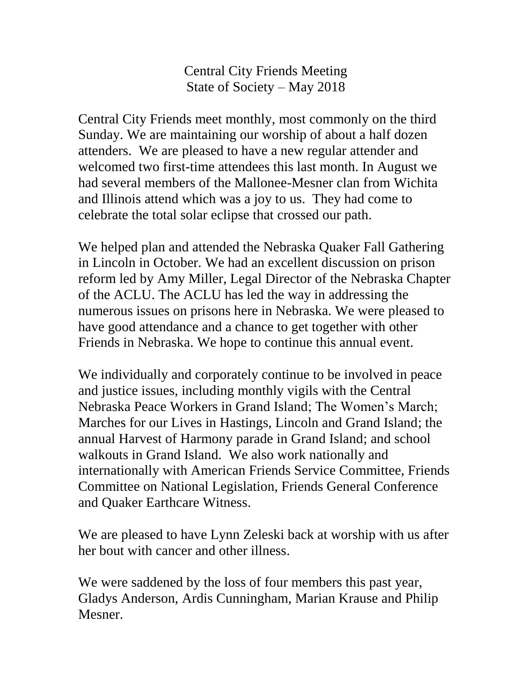Central City Friends Meeting State of Society – May 2018

Central City Friends meet monthly, most commonly on the third Sunday. We are maintaining our worship of about a half dozen attenders. We are pleased to have a new regular attender and welcomed two first-time attendees this last month. In August we had several members of the Mallonee-Mesner clan from Wichita and Illinois attend which was a joy to us. They had come to celebrate the total solar eclipse that crossed our path.

We helped plan and attended the Nebraska Quaker Fall Gathering in Lincoln in October. We had an excellent discussion on prison reform led by Amy Miller, Legal Director of the Nebraska Chapter of the ACLU. The ACLU has led the way in addressing the numerous issues on prisons here in Nebraska. We were pleased to have good attendance and a chance to get together with other Friends in Nebraska. We hope to continue this annual event.

We individually and corporately continue to be involved in peace and justice issues, including monthly vigils with the Central Nebraska Peace Workers in Grand Island; The Women's March; Marches for our Lives in Hastings, Lincoln and Grand Island; the annual Harvest of Harmony parade in Grand Island; and school walkouts in Grand Island. We also work nationally and internationally with American Friends Service Committee, Friends Committee on National Legislation, Friends General Conference and Quaker Earthcare Witness.

We are pleased to have Lynn Zeleski back at worship with us after her bout with cancer and other illness.

We were saddened by the loss of four members this past year, Gladys Anderson, Ardis Cunningham, Marian Krause and Philip Mesner.